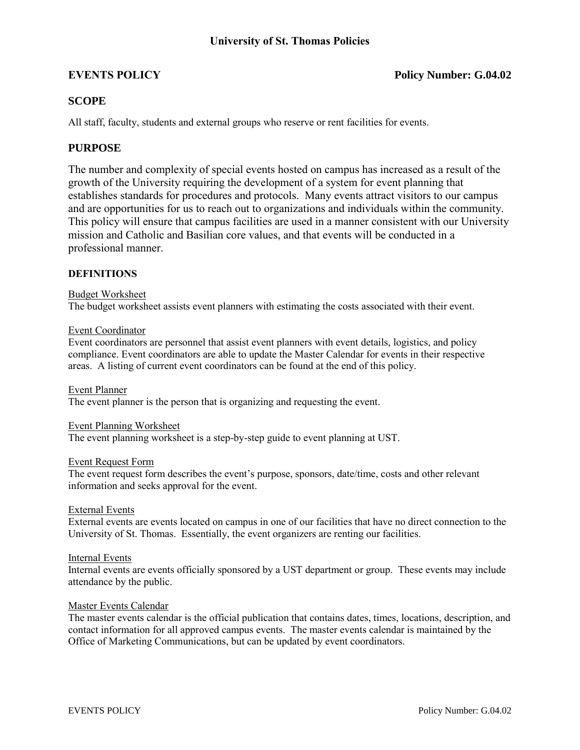## **EVENTS POLICY Policy Number: G.04.02**

## **SCOPE**

All staff, faculty, students and external groups who reserve or rent facilities for events.

## **PURPOSE**

The number and complexity of special events hosted on campus has increased as a result of the growth of the University requiring the development of a system for event planning that establishes standards for procedures and protocols. Many events attract visitors to our campus and are opportunities for us to reach out to organizations and individuals within the community. This policy will ensure that campus facilities are used in a manner consistent with our University mission and Catholic and Basilian core values, and that events will be conducted in a professional manner.

### **DEFINITIONS**

#### Budget Worksheet

The budget worksheet assists event planners with estimating the costs associated with their event.

#### Event Coordinator

Event coordinators are personnel that assist event planners with event details, logistics, and policy compliance. Event coordinators are able to update the Master Calendar for events in their respective areas. A listing of current event coordinators can be found at the end of this policy.

Event Planner The event planner is the person that is organizing and requesting the event.

#### Event Planning Worksheet

The event planning worksheet is a step-by-step guide to event planning at UST.

#### Event Request Form

The event request form describes the event's purpose, sponsors, date/time, costs and other relevant information and seeks approval for the event.

#### External Events

External events are events located on campus in one of our facilities that have no direct connection to the University of St. Thomas. Essentially, the event organizers are renting our facilities.

#### Internal Events

Internal events are events officially sponsored by a UST department or group. These events may include attendance by the public.

#### Master Events Calendar

The master events calendar is the official publication that contains dates, times, locations, description, and contact information for all approved campus events. The master events calendar is maintained by the Office of Marketing Communications, but can be updated by event coordinators.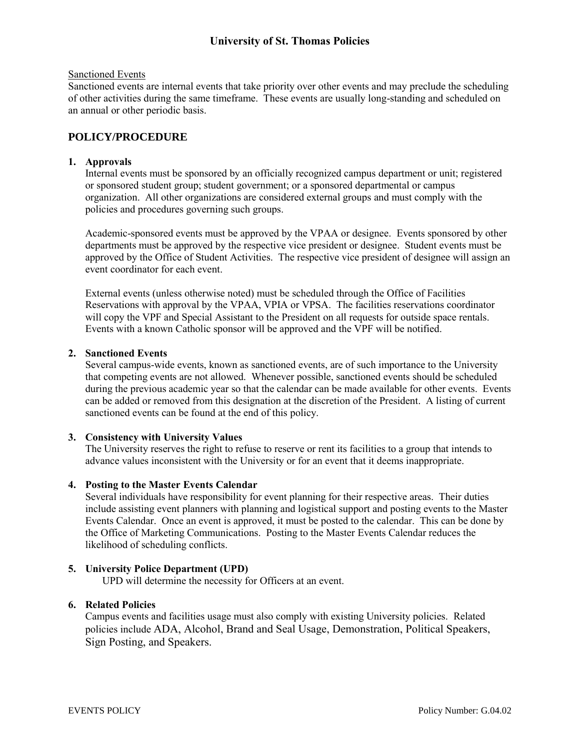# **University of St. Thomas Policies**

#### Sanctioned Events

Sanctioned events are internal events that take priority over other events and may preclude the scheduling of other activities during the same timeframe. These events are usually long-standing and scheduled on an annual or other periodic basis.

## **POLICY/PROCEDURE**

#### **1. Approvals**

Internal events must be sponsored by an officially recognized campus department or unit; registered or sponsored student group; student government; or a sponsored departmental or campus organization. All other organizations are considered external groups and must comply with the policies and procedures governing such groups.

Academic-sponsored events must be approved by the VPAA or designee. Events sponsored by other departments must be approved by the respective vice president or designee. Student events must be approved by the Office of Student Activities. The respective vice president of designee will assign an event coordinator for each event.

External events (unless otherwise noted) must be scheduled through the Office of Facilities Reservations with approval by the VPAA, VPIA or VPSA. The facilities reservations coordinator will copy the VPF and Special Assistant to the President on all requests for outside space rentals. Events with a known Catholic sponsor will be approved and the VPF will be notified.

#### **2. Sanctioned Events**

Several campus-wide events, known as sanctioned events, are of such importance to the University that competing events are not allowed. Whenever possible, sanctioned events should be scheduled during the previous academic year so that the calendar can be made available for other events. Events can be added or removed from this designation at the discretion of the President. A listing of current sanctioned events can be found at the end of this policy.

### **3. Consistency with University Values**

The University reserves the right to refuse to reserve or rent its facilities to a group that intends to advance values inconsistent with the University or for an event that it deems inappropriate.

### **4. Posting to the Master Events Calendar**

Several individuals have responsibility for event planning for their respective areas. Their duties include assisting event planners with planning and logistical support and posting events to the Master Events Calendar. Once an event is approved, it must be posted to the calendar. This can be done by the Office of Marketing Communications. Posting to the Master Events Calendar reduces the likelihood of scheduling conflicts.

### **5. University Police Department (UPD)**

UPD will determine the necessity for Officers at an event.

## **6. Related Policies**

Campus events and facilities usage must also comply with existing University policies. Related policies include ADA, Alcohol, Brand and Seal Usage, Demonstration, Political Speakers, Sign Posting, and Speakers.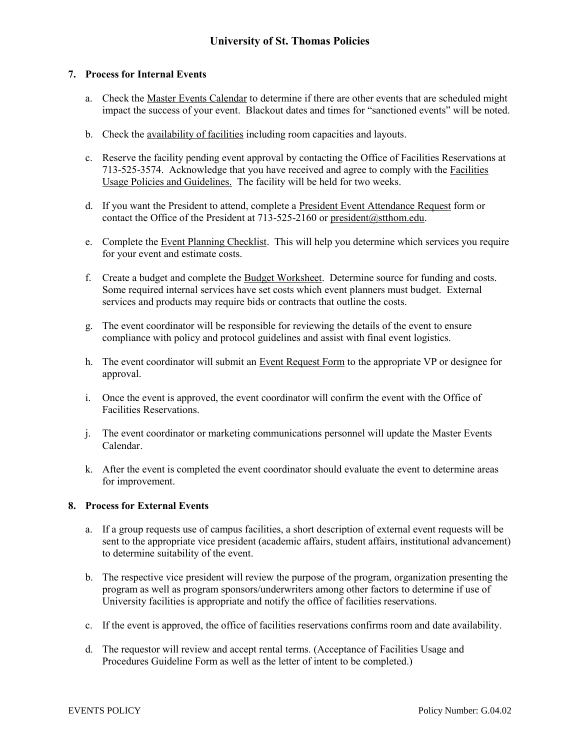## **7. Process for Internal Events**

- a. Check the Master Events Calendar to determine if there are other events that are scheduled might impact the success of your event. Blackout dates and times for "sanctioned events" will be noted.
- b. Check the availability of facilities including room capacities and layouts.
- c. Reserve the facility pending event approval by contacting the Office of Facilities Reservations at 713-525-3574. Acknowledge that you have received and agree to comply with the Facilities Usage Policies and Guidelines. The facility will be held for two weeks.
- d. If you want the President to attend, complete a President Event Attendance Request form or contact the Office of the President at 713-525-2160 or [president@stthom.edu.](mailto:president@stthom.edu)
- e. Complete the Event Planning Checklist. This will help you determine which services you require for your event and estimate costs.
- f. Create a budget and complete the Budget Worksheet. Determine source for funding and costs. Some required internal services have set costs which event planners must budget. External services and products may require bids or contracts that outline the costs.
- g. The event coordinator will be responsible for reviewing the details of the event to ensure compliance with policy and protocol guidelines and assist with final event logistics.
- h. The event coordinator will submit an Event Request Form to the appropriate VP or designee for approval.
- i. Once the event is approved, the event coordinator will confirm the event with the Office of Facilities Reservations.
- j. The event coordinator or marketing communications personnel will update the Master Events Calendar.
- k. After the event is completed the event coordinator should evaluate the event to determine areas for improvement.

### **8. Process for External Events**

- a. If a group requests use of campus facilities, a short description of external event requests will be sent to the appropriate vice president (academic affairs, student affairs, institutional advancement) to determine suitability of the event.
- b. The respective vice president will review the purpose of the program, organization presenting the program as well as program sponsors/underwriters among other factors to determine if use of University facilities is appropriate and notify the office of facilities reservations.
- c. If the event is approved, the office of facilities reservations confirms room and date availability.
- d. The requestor will review and accept rental terms. (Acceptance of Facilities Usage and Procedures Guideline Form as well as the letter of intent to be completed.)